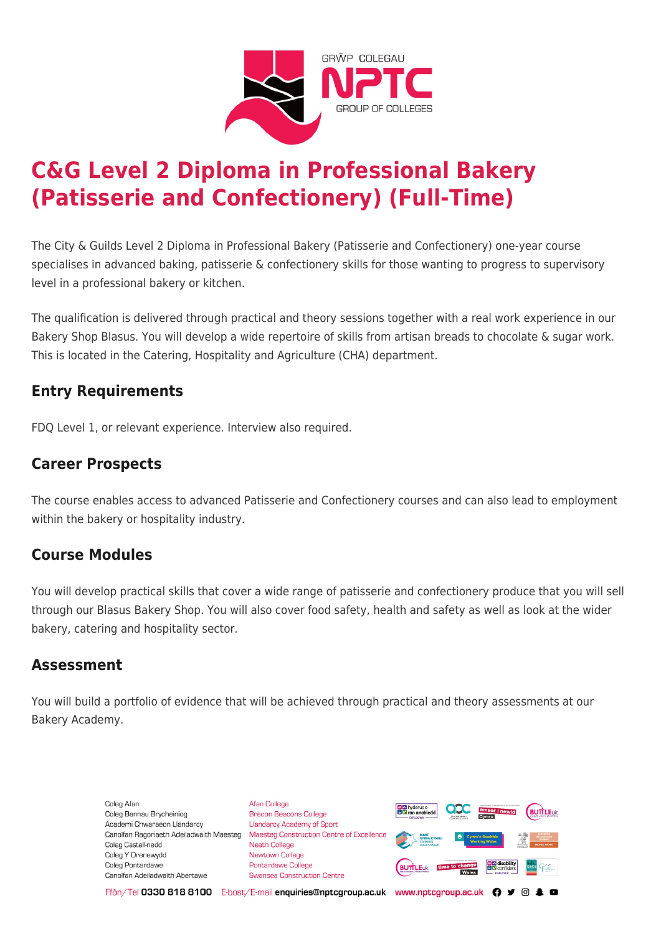

# **C&G Level 2 Diploma in Professional Bakery (Patisserie and Confectionery) (Full-Time)**

The City & Guilds Level 2 Diploma in Professional Bakery (Patisserie and Confectionery) one-year course specialises in advanced baking, patisserie & confectionery skills for those wanting to progress to supervisory level in a professional bakery or kitchen.

The qualification is delivered through practical and theory sessions together with a real work experience in our Bakery Shop Blasus. You will develop a wide repertoire of skills from artisan breads to chocolate & sugar work. This is located in the Catering, Hospitality and Agriculture (CHA) department.

# **Entry Requirements**

FDQ Level 1, or relevant experience. Interview also required.

## **Career Prospects**

The course enables access to advanced Patisserie and Confectionery courses and can also lead to employment within the bakery or hospitality industry.

### **Course Modules**

You will develop practical skills that cover a wide range of patisserie and confectionery produce that you will sell through our Blasus Bakery Shop. You will also cover food safety, health and safety as well as look at the wider bakery, catering and hospitality sector.

#### **Assessment**

You will build a portfolio of evidence that will be achieved through practical and theory assessments at our Bakery Academy.

> Coleg Afan Coleg Bannau Brycheiniog Academi Chwaraeon Llandarcy Coleg Castell-nedd Coleg Y Drenewydd Coleg Pontardawe Canolfan Adeiladwaith Abertawe

**Afan College** Brecon Beacons College **Llandarcy Academy of Sport** Canolfan Ragoriaeth Adeiladwaith Maesteg Maesteg Construction Centre of Excellence Neath College Newtown College Pontardawe College Swansea Construction Centre



Ffôn/Tel 0330 818 8100 E-bost/E-mail enquiries@nptcgroup.ac.uk www.nptcgroup.ac.uk ? • © \$